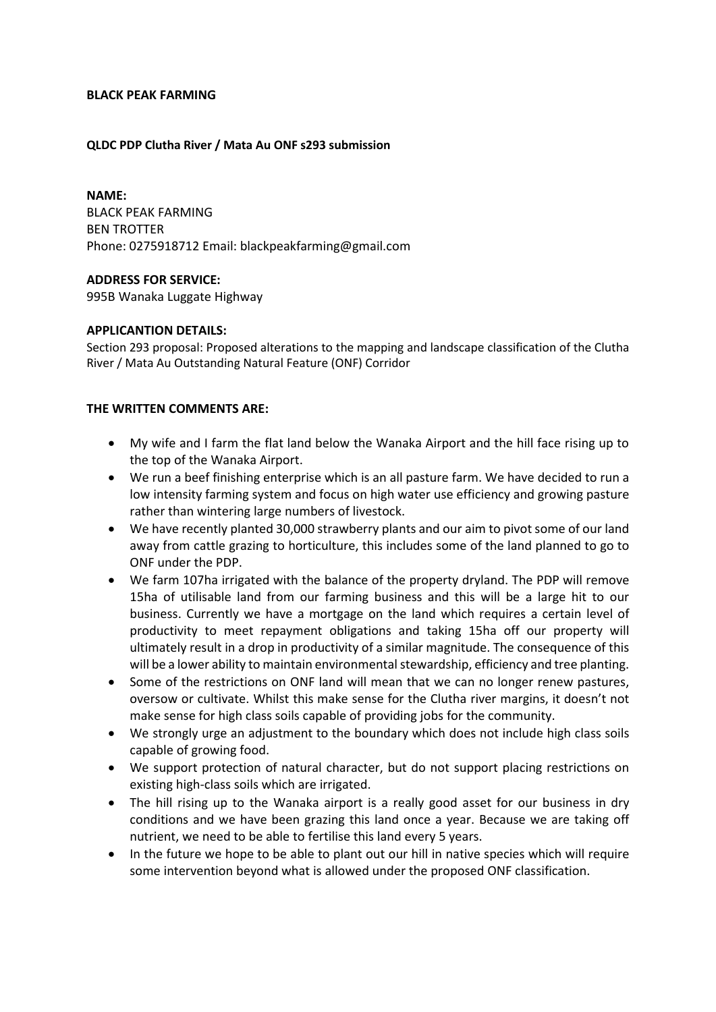# **BLACK PEAK FARMING**

### **QLDC PDP Clutha River / Mata Au ONF s293 submission**

**NAME:** BLACK PEAK FARMING BEN TROTTER Phone: 0275918712 Email: blackpeakfarming@gmail.com

#### **ADDRESS FOR SERVICE:**

995B Wanaka Luggate Highway

# **APPLICANTION DETAILS:**

Section 293 proposal: Proposed alterations to the mapping and landscape classification of the Clutha River / Mata Au Outstanding Natural Feature (ONF) Corridor

# **THE WRITTEN COMMENTS ARE:**

- My wife and I farm the flat land below the Wanaka Airport and the hill face rising up to the top of the Wanaka Airport.
- We run a beef finishing enterprise which is an all pasture farm. We have decided to run a low intensity farming system and focus on high water use efficiency and growing pasture rather than wintering large numbers of livestock.
- We have recently planted 30,000 strawberry plants and our aim to pivot some of our land away from cattle grazing to horticulture, this includes some of the land planned to go to ONF under the PDP.
- We farm 107ha irrigated with the balance of the property dryland. The PDP will remove 15ha of utilisable land from our farming business and this will be a large hit to our business. Currently we have a mortgage on the land which requires a certain level of productivity to meet repayment obligations and taking 15ha off our property will ultimately result in a drop in productivity of a similar magnitude. The consequence of this will be a lower ability to maintain environmental stewardship, efficiency and tree planting.
- Some of the restrictions on ONF land will mean that we can no longer renew pastures, oversow or cultivate. Whilst this make sense for the Clutha river margins, it doesn't not make sense for high class soils capable of providing jobs for the community.
- We strongly urge an adjustment to the boundary which does not include high class soils capable of growing food.
- We support protection of natural character, but do not support placing restrictions on existing high-class soils which are irrigated.
- The hill rising up to the Wanaka airport is a really good asset for our business in dry conditions and we have been grazing this land once a year. Because we are taking off nutrient, we need to be able to fertilise this land every 5 years.
- In the future we hope to be able to plant out our hill in native species which will require some intervention beyond what is allowed under the proposed ONF classification.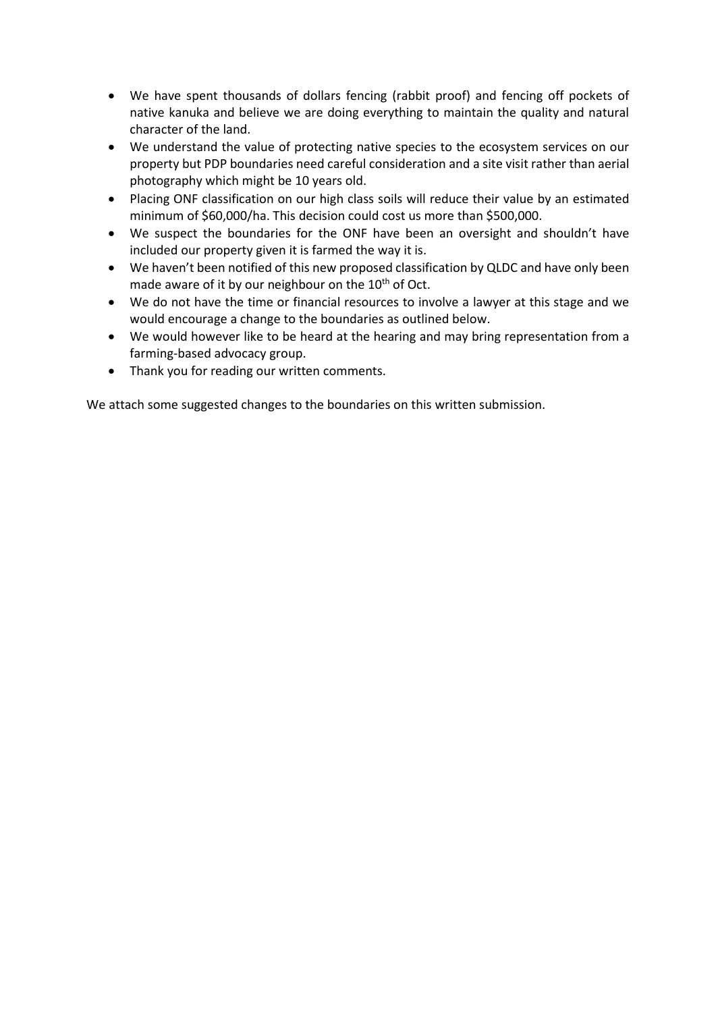- We have spent thousands of dollars fencing (rabbit proof) and fencing off pockets of native kanuka and believe we are doing everything to maintain the quality and natural character of the land.
- We understand the value of protecting native species to the ecosystem services on our property but PDP boundaries need careful consideration and a site visit rather than aerial photography which might be 10 years old.
- Placing ONF classification on our high class soils will reduce their value by an estimated minimum of \$60,000/ha. This decision could cost us more than \$500,000.
- We suspect the boundaries for the ONF have been an oversight and shouldn't have included our property given it is farmed the way it is.
- We haven't been notified of this new proposed classification by QLDC and have only been made aware of it by our neighbour on the  $10<sup>th</sup>$  of Oct.
- We do not have the time or financial resources to involve a lawyer at this stage and we would encourage a change to the boundaries as outlined below.
- We would however like to be heard at the hearing and may bring representation from a farming-based advocacy group.
- Thank you for reading our written comments.

We attach some suggested changes to the boundaries on this written submission.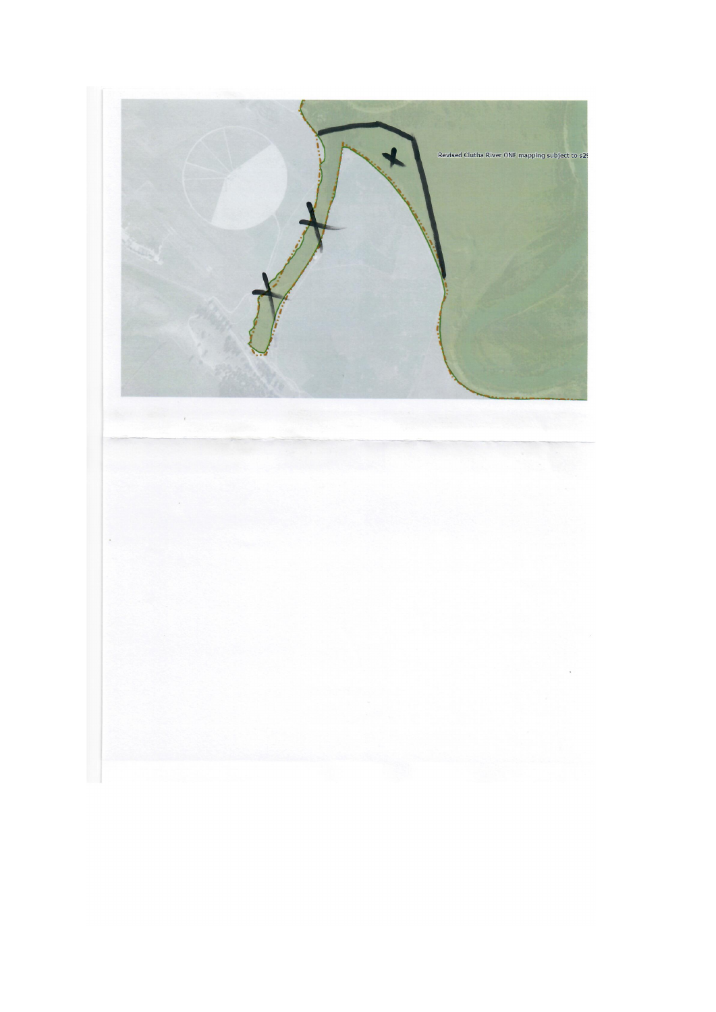